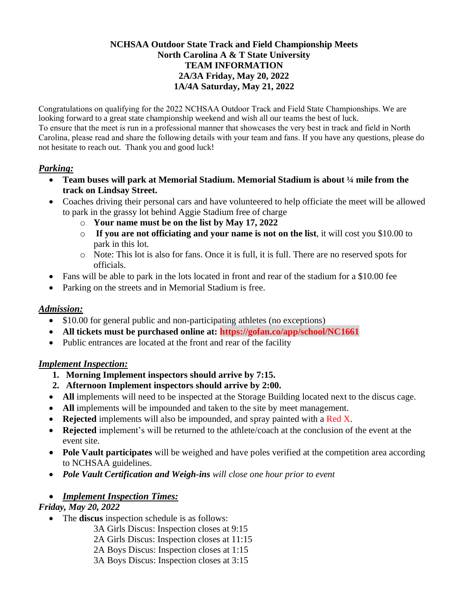#### **NCHSAA Outdoor State Track and Field Championship Meets North Carolina A & T State University TEAM INFORMATION 2A/3A Friday, May 20, 2022 1A/4A Saturday, May 21, 2022**

Congratulations on qualifying for the 2022 NCHSAA Outdoor Track and Field State Championships. We are looking forward to a great state championship weekend and wish all our teams the best of luck. To ensure that the meet is run in a professional manner that showcases the very best in track and field in North Carolina, please read and share the following details with your team and fans. If you have any questions, please do not hesitate to reach out. Thank you and good luck!

## *Parking:*

- **Team buses will park at Memorial Stadium. Memorial Stadium is about ¼ mile from the track on Lindsay Street.**
- Coaches driving their personal cars and have volunteered to help officiate the meet will be allowed to park in the grassy lot behind Aggie Stadium free of charge
	- o **Your name must be on the list by May 17, 2022**
	- o **If you are not officiating and your name is not on the list**, it will cost you \$10.00 to park in this lot.
	- o Note: This lot is also for fans. Once it is full, it is full. There are no reserved spots for officials.
- Fans will be able to park in the lots located in front and rear of the stadium for a \$10.00 fee
- Parking on the streets and in Memorial Stadium is free.

# *Admission:*

- \$10.00 for general public and non-participating athletes (no exceptions)
- **All tickets must be purchased online at: https://gofan.co/app/school/NC1661**
- Public entrances are located at the front and rear of the facility

# *Implement Inspection:*

- **1. Morning Implement inspectors should arrive by 7:15.**
- **2. Afternoon Implement inspectors should arrive by 2:00.**
- All implements will need to be inspected at the Storage Building located next to the discus cage.
- All implements will be impounded and taken to the site by meet management.
- **Rejected** implements will also be impounded, and spray painted with a Red X.
- **Rejected** implement's will be returned to the athlete/coach at the conclusion of the event at the event site.
- **Pole Vault participates** will be weighed and have poles verified at the competition area according to NCHSAA guidelines.
- *Pole Vault Certification and Weigh-ins will close one hour prior to event*

# • *Implement Inspection Times:*

#### *Friday, May 20, 2022*

- The **discus** inspection schedule is as follows:
	- 3A Girls Discus: Inspection closes at 9:15
	- 2A Girls Discus: Inspection closes at 11:15
	- 2A Boys Discus: Inspection closes at 1:15
	- 3A Boys Discus: Inspection closes at 3:15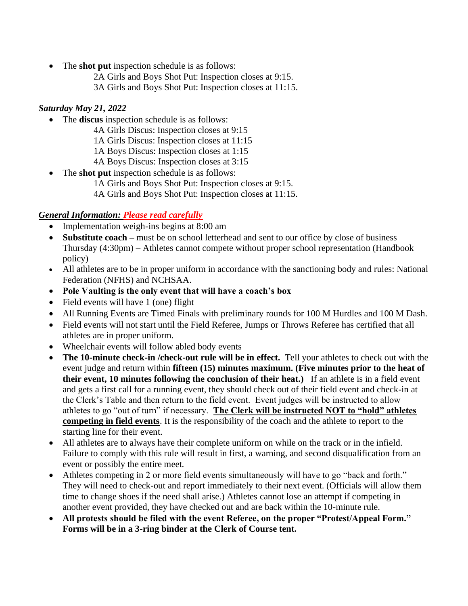- The **shot put** inspection schedule is as follows:
	- 2A Girls and Boys Shot Put: Inspection closes at 9:15.
	- 3A Girls and Boys Shot Put: Inspection closes at 11:15.

### *Saturday May 21, 2022*

- The **discus** inspection schedule is as follows:
	- 4A Girls Discus: Inspection closes at 9:15
	- 1A Girls Discus: Inspection closes at 11:15
	- 1A Boys Discus: Inspection closes at 1:15
	- 4A Boys Discus: Inspection closes at 3:15
- The **shot put** inspection schedule is as follows:
	- 1A Girls and Boys Shot Put: Inspection closes at 9:15.
	- 4A Girls and Boys Shot Put: Inspection closes at 11:15.

## *General Information: Please read carefully*

- Implementation weigh-ins begins at 8:00 am
- **Substitute coach** must be on school letterhead and sent to our office by close of business Thursday (4:30pm) – Athletes cannot compete without proper school representation (Handbook policy)
- All athletes are to be in proper uniform in accordance with the sanctioning body and rules: National Federation (NFHS) and NCHSAA.
- **Pole Vaulting is the only event that will have a coach's box**
- Field events will have 1 (one) flight
- All Running Events are Timed Finals with preliminary rounds for 100 M Hurdles and 100 M Dash.
- Field events will not start until the Field Referee, Jumps or Throws Referee has certified that all athletes are in proper uniform.
- Wheelchair events will follow abled body events
- **The 10-minute check-in /check-out rule will be in effect.** Tell your athletes to check out with the event judge and return within **fifteen (15) minutes maximum. (Five minutes prior to the heat of their event, 10 minutes following the conclusion of their heat.)** If an athlete is in a field event and gets a first call for a running event, they should check out of their field event and check-in at the Clerk's Table and then return to the field event. Event judges will be instructed to allow athletes to go "out of turn" if necessary. **The Clerk will be instructed NOT to "hold" athletes competing in field events**. It is the responsibility of the coach and the athlete to report to the starting line for their event.
- All athletes are to always have their complete uniform on while on the track or in the infield. Failure to comply with this rule will result in first, a warning, and second disqualification from an event or possibly the entire meet.
- Athletes competing in 2 or more field events simultaneously will have to go "back and forth." They will need to check-out and report immediately to their next event. (Officials will allow them time to change shoes if the need shall arise.) Athletes cannot lose an attempt if competing in another event provided, they have checked out and are back within the 10-minute rule.
- **All protests should be filed with the event Referee, on the proper "Protest/Appeal Form." Forms will be in a 3-ring binder at the Clerk of Course tent.**